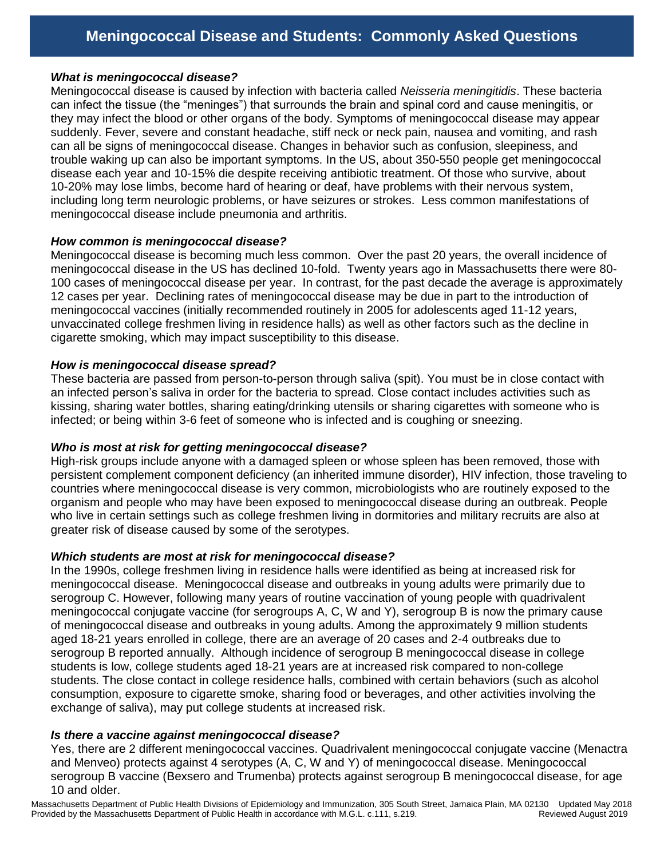### *What is meningococcal disease?*

Meningococcal disease is caused by infection with bacteria called *Neisseria meningitidis*. These bacteria can infect the tissue (the "meninges") that surrounds the brain and spinal cord and cause meningitis, or they may infect the blood or other organs of the body. Symptoms of meningococcal disease may appear suddenly. Fever, severe and constant headache, stiff neck or neck pain, nausea and vomiting, and rash can all be signs of meningococcal disease. Changes in behavior such as confusion, sleepiness, and trouble waking up can also be important symptoms. In the US, about 350-550 people get meningococcal disease each year and 10-15% die despite receiving antibiotic treatment. Of those who survive, about 10-20% may lose limbs, become hard of hearing or deaf, have problems with their nervous system, including long term neurologic problems, or have seizures or strokes. Less common manifestations of meningococcal disease include pneumonia and arthritis.

#### *How common is meningococcal disease?*

Meningococcal disease is becoming much less common. Over the past 20 years, the overall incidence of meningococcal disease in the US has declined 10-fold. Twenty years ago in Massachusetts there were 80- 100 cases of meningococcal disease per year. In contrast, for the past decade the average is approximately 12 cases per year. Declining rates of meningococcal disease may be due in part to the introduction of meningococcal vaccines (initially recommended routinely in 2005 for adolescents aged 11-12 years, unvaccinated college freshmen living in residence halls) as well as other factors such as the decline in cigarette smoking, which may impact susceptibility to this disease.

#### *How is meningococcal disease spread?*

These bacteria are passed from person-to-person through saliva (spit). You must be in close contact with an infected person's saliva in order for the bacteria to spread. Close contact includes activities such as kissing, sharing water bottles, sharing eating/drinking utensils or sharing cigarettes with someone who is infected; or being within 3-6 feet of someone who is infected and is coughing or sneezing.

### *Who is most at risk for getting meningococcal disease?*

High-risk groups include anyone with a damaged spleen or whose spleen has been removed, those with persistent complement component deficiency (an inherited immune disorder), HIV infection, those traveling to countries where meningococcal disease is very common, microbiologists who are routinely exposed to the organism and people who may have been exposed to meningococcal disease during an outbreak. People who live in certain settings such as college freshmen living in dormitories and military recruits are also at greater risk of disease caused by some of the serotypes.

### *Which students are most at risk for meningococcal disease?*

In the 1990s, college freshmen living in residence halls were identified as being at increased risk for meningococcal disease. Meningococcal disease and outbreaks in young adults were primarily due to serogroup C. However, following many years of routine vaccination of young people with quadrivalent meningococcal conjugate vaccine (for serogroups A, C, W and Y), serogroup B is now the primary cause of meningococcal disease and outbreaks in young adults. Among the approximately 9 million students aged 18-21 years enrolled in college, there are an average of 20 cases and 2-4 outbreaks due to serogroup B reported annually. Although incidence of serogroup B meningococcal disease in college students is low, college students aged 18-21 years are at increased risk compared to non-college students. The close contact in college residence halls, combined with certain behaviors (such as alcohol consumption, exposure to cigarette smoke, sharing food or beverages, and other activities involving the exchange of saliva), may put college students at increased risk.

### *Is there a vaccine against meningococcal disease?*

Yes, there are 2 different meningococcal vaccines. Quadrivalent meningococcal conjugate vaccine (Menactra and Menveo) protects against 4 serotypes (A, C, W and Y) of meningococcal disease. Meningococcal serogroup B vaccine (Bexsero and Trumenba) protects against serogroup B meningococcal disease, for age 10 and older.

Massachusetts Department of Public Health Divisions of Epidemiology and Immunization, 305 South Street, Jamaica Plain, MA 02130 Updated May 2018 Provided by the Massachusetts Department of Public Health in accordance with M.G.L. c.111, s.219. Reviewed August 2019